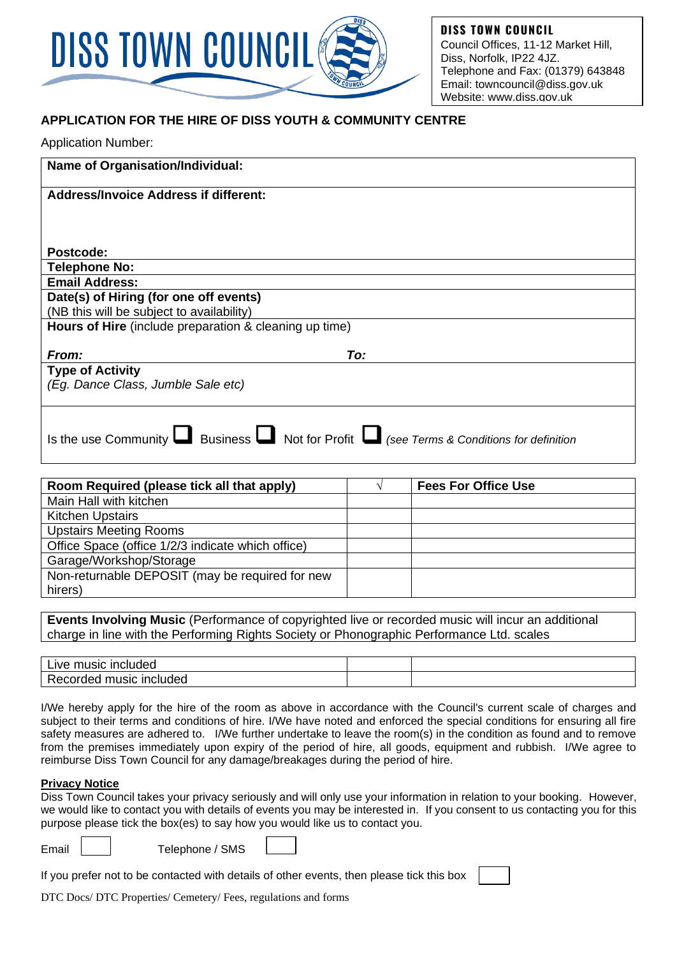

**DISS TOWN COUNCIL** Council Offices, 11-12 Market Hill, Diss, Norfolk, IP22 4JZ. Telephone and Fax: (01379) 643848 Email: towncouncil@diss.gov.uk Website: www.diss.gov.uk

## **APPLICATION FOR THE HIRE OF DISS YOUTH & COMMUNITY CENTRE**

|  | <b>Application Number:</b> |
|--|----------------------------|
|  |                            |

| Name of Organisation/Individual:                                                                         |
|----------------------------------------------------------------------------------------------------------|
| <b>Address/Invoice Address if different:</b>                                                             |
|                                                                                                          |
|                                                                                                          |
| Postcode:                                                                                                |
| <b>Telephone No:</b>                                                                                     |
| <b>Email Address:</b>                                                                                    |
| Date(s) of Hiring (for one off events)                                                                   |
| (NB this will be subject to availability)                                                                |
| Hours of Hire (include preparation & cleaning up time)                                                   |
|                                                                                                          |
| From:<br>To:                                                                                             |
| <b>Type of Activity</b>                                                                                  |
| (Eg. Dance Class, Jumble Sale etc)                                                                       |
|                                                                                                          |
|                                                                                                          |
|                                                                                                          |
| Is the use Community $\Box$ Business $\Box$ Not for Profit $\Box$ (see Terms & Conditions for definition |

| Room Required (please tick all that apply)        | <b>Fees For Office Use</b> |
|---------------------------------------------------|----------------------------|
| Main Hall with kitchen                            |                            |
| <b>Kitchen Upstairs</b>                           |                            |
| <b>Upstairs Meeting Rooms</b>                     |                            |
| Office Space (office 1/2/3 indicate which office) |                            |
| Garage/Workshop/Storage                           |                            |
| Non-returnable DEPOSIT (may be required for new   |                            |
| hirers)                                           |                            |

**Events Involving Music** (Performance of copyrighted live or recorded music will incur an additional charge in line with the Performing Rights Society or Phonographic Performance Ltd. scales

| music<br><b>Included</b><br>∟lVe⊺  |  |
|------------------------------------|--|
| included<br>music<br>coraed<br>RAL |  |

I/We hereby apply for the hire of the room as above in accordance with the Council's current scale of charges and subject to their terms and conditions of hire. I/We have noted and enforced the special conditions for ensuring all fire safety measures are adhered to. I/We further undertake to leave the room(s) in the condition as found and to remove from the premises immediately upon expiry of the period of hire, all goods, equipment and rubbish. I/We agree to reimburse Diss Town Council for any damage/breakages during the period of hire.

#### **Privacy Notice**

Diss Town Council takes your privacy seriously and will only use your information in relation to your booking*.* However, we would like to contact you with details of events you may be interested in. If you consent to us contacting you for this purpose please tick the box(es) to say how you would like us to contact you.

Email | Telephone / SMS

If you prefer not to be contacted with details of other events, then please tick this box

DTC Docs/ DTC Properties/ Cemetery/ Fees, regulations and forms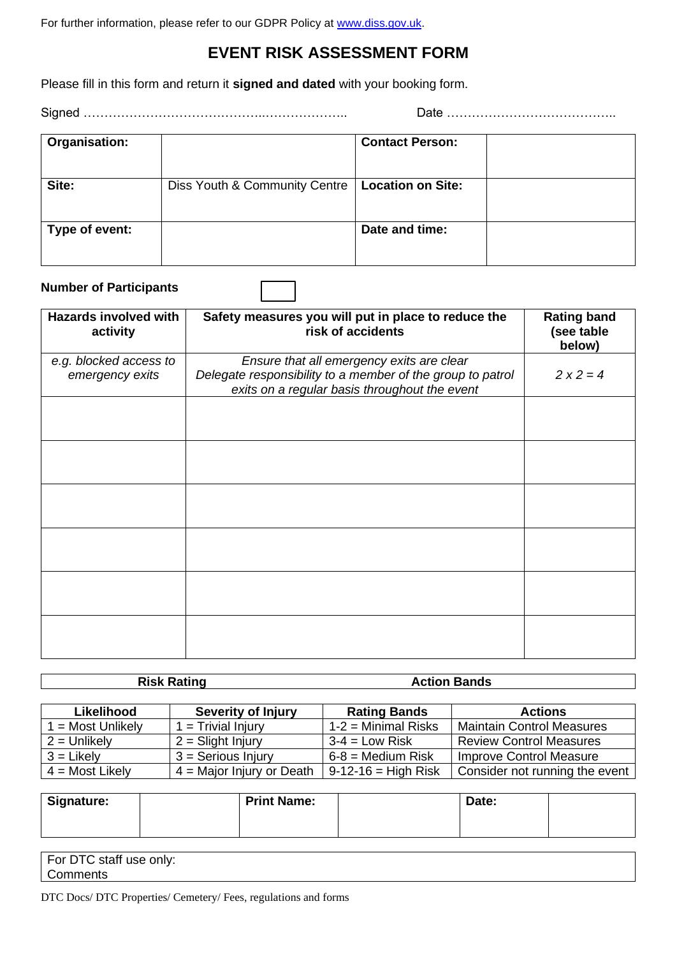For further information, please refer to our GDPR Policy at [www.diss.gov.uk.](http://www.diss.gov.uk/)

## **EVENT RISK ASSESSMENT FORM**

Please fill in this form and return it **signed and dated** with your booking form.

Signed ……………………………………..……………….. Date …………………………………..

| Organisation:  |                               | <b>Contact Person:</b>   |  |
|----------------|-------------------------------|--------------------------|--|
| Site:          | Diss Youth & Community Centre | <b>Location on Site:</b> |  |
|                |                               |                          |  |
| Type of event: |                               | Date and time:           |  |
|                |                               |                          |  |

#### **Number of Participants**

| <b>Hazards involved with</b><br>activity  | Safety measures you will put in place to reduce the<br>risk of accidents                                                                                 | <b>Rating band</b><br>(see table<br>below) |
|-------------------------------------------|----------------------------------------------------------------------------------------------------------------------------------------------------------|--------------------------------------------|
| e.g. blocked access to<br>emergency exits | Ensure that all emergency exits are clear<br>Delegate responsibility to a member of the group to patrol<br>exits on a regular basis throughout the event | $2x2=4$                                    |
|                                           |                                                                                                                                                          |                                            |
|                                           |                                                                                                                                                          |                                            |
|                                           |                                                                                                                                                          |                                            |
|                                           |                                                                                                                                                          |                                            |
|                                           |                                                                                                                                                          |                                            |
|                                           |                                                                                                                                                          |                                            |

**Risk Rating Action Bands** 

| Likelihood        | <b>Severity of Injury</b>   | <b>Rating Bands</b>   | <b>Actions</b>                   |
|-------------------|-----------------------------|-----------------------|----------------------------------|
| 1 = Most Unlikely | $1 = Trivial Injury$        | $1-2$ = Minimal Risks | <b>Maintain Control Measures</b> |
| $2 =$ Unlikely    | $2 =$ Slight Injury         | $3-4 =$ Low Risk      | <b>Review Control Measures</b>   |
| $3 =$ Likely      | $3 =$ Serious Injury        | $6 - 8 =$ Medium Risk | <b>Improve Control Measure</b>   |
| $4 =$ Most Likely | $4 =$ Major Injury or Death | $9-12-16$ = High Risk | Consider not running the event   |

| <b>Signature:</b> | <b>Print Name:</b> | Date: |  |
|-------------------|--------------------|-------|--|
|                   |                    |       |  |

| <br>For<br>$\sim$ $\sim$ $\sim$<br>staff<br>only:<br>use<br>וט<br>◡ |  |
|---------------------------------------------------------------------|--|
| :omments                                                            |  |

DTC Docs/ DTC Properties/ Cemetery/ Fees, regulations and forms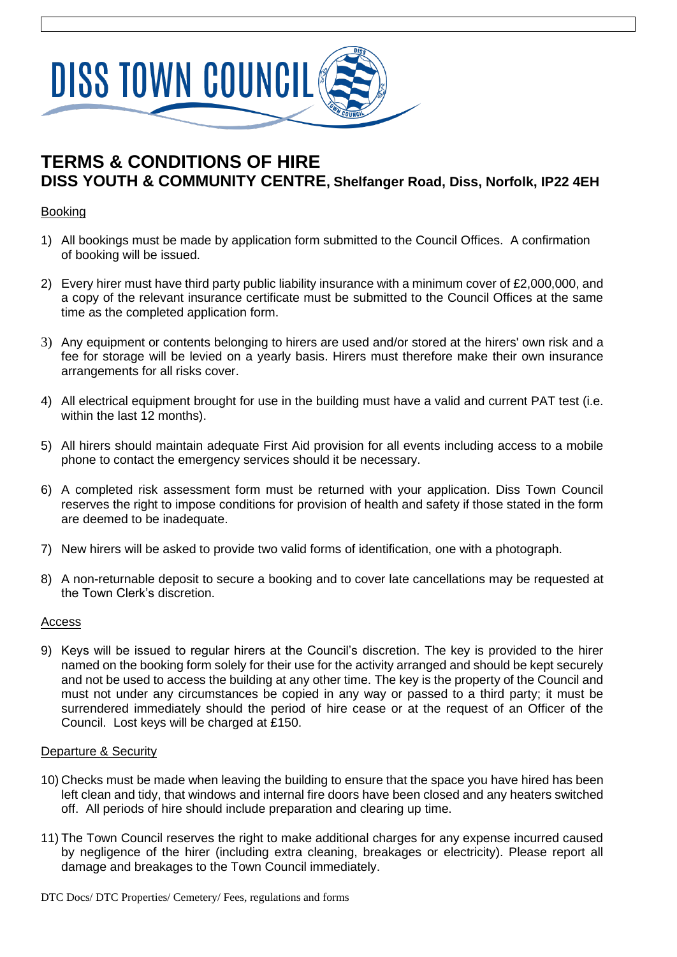

# **TERMS & CONDITIONS OF HIRE DISS YOUTH & COMMUNITY CENTRE, Shelfanger Road, Diss, Norfolk, IP22 4EH**

#### **Booking**

- 1) All bookings must be made by application form submitted to the Council Offices. A confirmation of booking will be issued.
- 2) Every hirer must have third party public liability insurance with a minimum cover of £2,000,000, and a copy of the relevant insurance certificate must be submitted to the Council Offices at the same time as the completed application form.
- 3) Any equipment or contents belonging to hirers are used and/or stored at the hirers' own risk and a fee for storage will be levied on a yearly basis. Hirers must therefore make their own insurance arrangements for all risks cover.
- 4) All electrical equipment brought for use in the building must have a valid and current PAT test (i.e. within the last 12 months).
- 5) All hirers should maintain adequate First Aid provision for all events including access to a mobile phone to contact the emergency services should it be necessary.
- 6) A completed risk assessment form must be returned with your application. Diss Town Council reserves the right to impose conditions for provision of health and safety if those stated in the form are deemed to be inadequate.
- 7) New hirers will be asked to provide two valid forms of identification, one with a photograph.
- 8) A non-returnable deposit to secure a booking and to cover late cancellations may be requested at the Town Clerk's discretion.

#### Access

9) Keys will be issued to regular hirers at the Council's discretion. The key is provided to the hirer named on the booking form solely for their use for the activity arranged and should be kept securely and not be used to access the building at any other time. The key is the property of the Council and must not under any circumstances be copied in any way or passed to a third party; it must be surrendered immediately should the period of hire cease or at the request of an Officer of the Council. Lost keys will be charged at £150.

#### Departure & Security

- 10) Checks must be made when leaving the building to ensure that the space you have hired has been left clean and tidy, that windows and internal fire doors have been closed and any heaters switched off. All periods of hire should include preparation and clearing up time.
- 11) The Town Council reserves the right to make additional charges for any expense incurred caused by negligence of the hirer (including extra cleaning, breakages or electricity). Please report all damage and breakages to the Town Council immediately.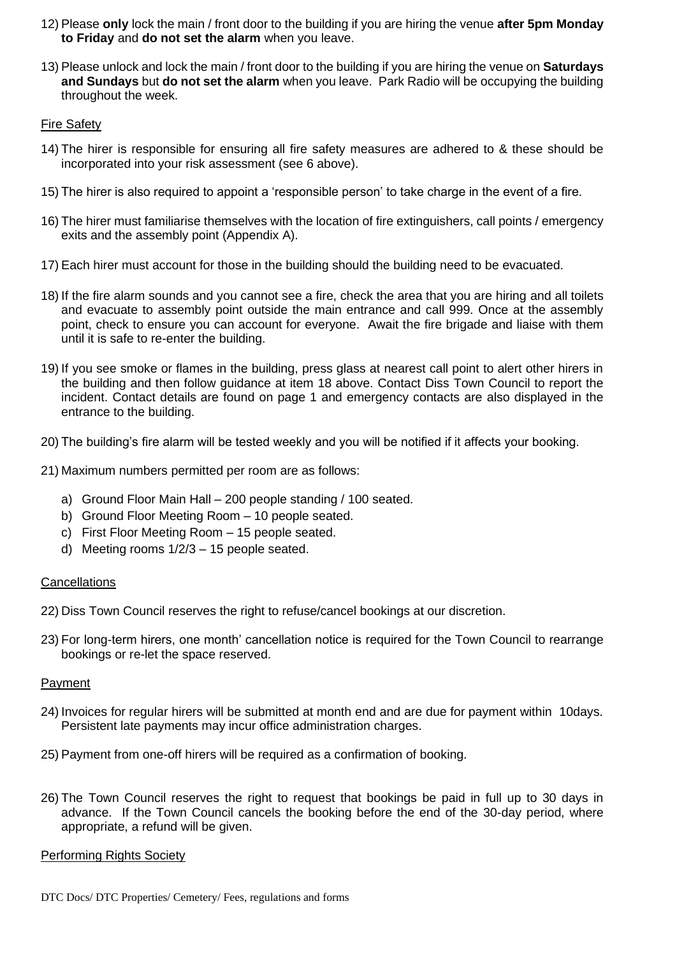- 12) Please **only** lock the main / front door to the building if you are hiring the venue **after 5pm Monday to Friday** and **do not set the alarm** when you leave.
- 13) Please unlock and lock the main / front door to the building if you are hiring the venue on **Saturdays and Sundays** but **do not set the alarm** when you leave. Park Radio will be occupying the building throughout the week.

#### Fire Safety

- 14) The hirer is responsible for ensuring all fire safety measures are adhered to & these should be incorporated into your risk assessment (see 6 above).
- 15) The hirer is also required to appoint a 'responsible person' to take charge in the event of a fire.
- 16) The hirer must familiarise themselves with the location of fire extinguishers, call points / emergency exits and the assembly point (Appendix A).
- 17) Each hirer must account for those in the building should the building need to be evacuated.
- 18) If the fire alarm sounds and you cannot see a fire, check the area that you are hiring and all toilets and evacuate to assembly point outside the main entrance and call 999. Once at the assembly point, check to ensure you can account for everyone. Await the fire brigade and liaise with them until it is safe to re-enter the building.
- 19) If you see smoke or flames in the building, press glass at nearest call point to alert other hirers in the building and then follow guidance at item 18 above. Contact Diss Town Council to report the incident. Contact details are found on page 1 and emergency contacts are also displayed in the entrance to the building.
- 20) The building's fire alarm will be tested weekly and you will be notified if it affects your booking.
- 21) Maximum numbers permitted per room are as follows:
	- a) Ground Floor Main Hall 200 people standing / 100 seated.
	- b) Ground Floor Meeting Room 10 people seated.
	- c) First Floor Meeting Room 15 people seated.
	- d) Meeting rooms 1/2/3 15 people seated.

#### **Cancellations**

22) Diss Town Council reserves the right to refuse/cancel bookings at our discretion.

23) For long-term hirers, one month' cancellation notice is required for the Town Council to rearrange bookings or re-let the space reserved.

#### Payment

- 24) Invoices for regular hirers will be submitted at month end and are due for payment within 10days. Persistent late payments may incur office administration charges.
- 25) Payment from one-off hirers will be required as a confirmation of booking.
- 26) The Town Council reserves the right to request that bookings be paid in full up to 30 days in advance. If the Town Council cancels the booking before the end of the 30-day period, where appropriate, a refund will be given.

#### Performing Rights Society